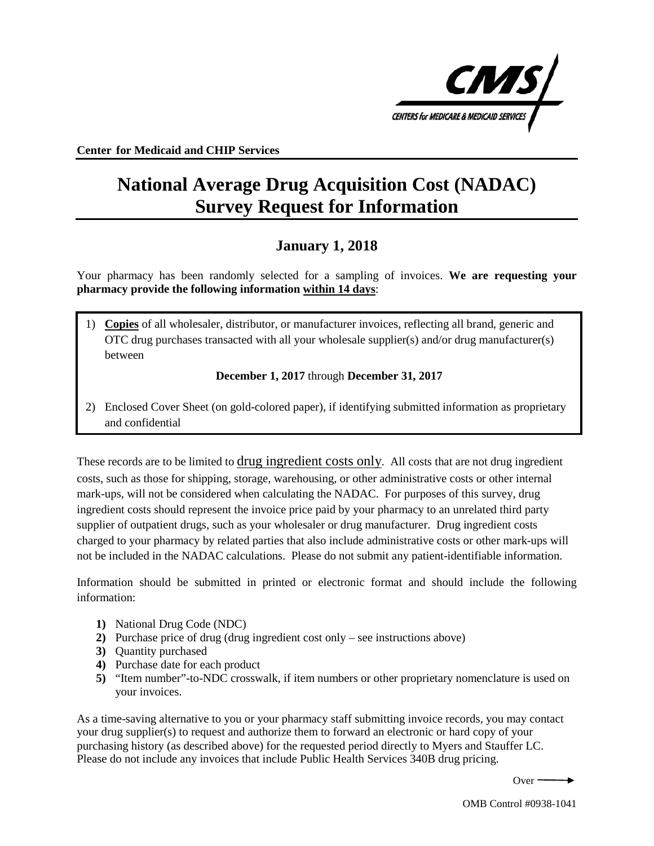

**Center for Medicaid and CHIP Services** 

# **National Average Drug Acquisition Cost (NADAC) Survey Request for Information**

# **January 1, 2018**

Your pharmacy has been randomly selected for a sampling of invoices. **We are requesting your pharmacy provide the following information within 14 days**:

1) **Copies** of all wholesaler, distributor, or manufacturer invoices, reflecting all brand, generic and OTC drug purchases transacted with all your wholesale supplier(s) and/or drug manufacturer(s) between

**December 1, 2017** through **December 31, 2017** 

2) Enclosed Cover Sheet (on gold-colored paper), if identifying submitted information as proprietary and confidential

 costs, such as those for shipping, storage, warehousing, or other administrative costs or other internal mark-ups, will not be considered when calculating the NADAC. For purposes of this survey, drug ingredient costs should represent the invoice price paid by your pharmacy to an unrelated third party supplier of outpatient drugs, such as your wholesaler or drug manufacturer. Drug ingredient costs These records are to be limited to drug ingredient costs only. All costs that are not drug ingredient charged to your pharmacy by related parties that also include administrative costs or other mark-ups will not be included in the NADAC calculations. Please do not submit any patient-identifiable information.

Information should be submitted in printed or electronic format and should include the following information:

- **1)** National Drug Code (NDC)
- **2)** Purchase price of drug (drug ingredient cost only see instructions above)
- **3)** Quantity purchased
- **4)** Purchase date for each product
- **5)** "Item number"-to-NDC crosswalk, if item numbers or other proprietary nomenclature is used on your invoices.

 As a time-saving alternative to you or your pharmacy staff submitting invoice records, you may contact your drug supplier(s) to request and authorize them to forward an electronic or hard copy of your Please do not include any invoices that include Public Health Services 340B drug pricing. purchasing history (as described above) for the requested period directly to Myers and Stauffer LC.

Over $-$ 

OMB Control #0938-1041